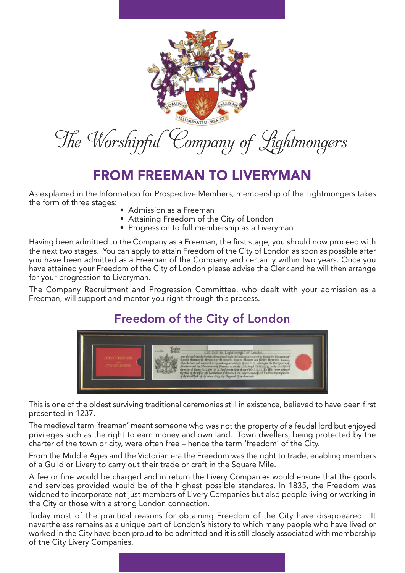

# FROM FREEMAN TO LIVERYMAN

As explained in the Information for Prospective Members, membership of the Lightmongers takes the form of three stages:

- Admission as a Freeman
- Attaining Freedom of the City of London
- Progression to full membership as a Liveryman

Having been admitted to the Company as a Freeman, the first stage, you should now proceed with the next two stages. You can apply to attain Freedom of the City of London as soon as possible after you have been admitted as a Freeman of the Company and certainly within two years. Once you have attained your Freedom of the City of London please advise the Clerk and he will then arrange for your progression to Liveryman.

The Company Recruitment and Progression Committee, who dealt with your admission as a Freeman, will support and mentor you right through this process.

## Freedom of the City of London



This is one of the oldest surviving traditional ceremonies still in existence, believed to have been first presented in 1237.

The medieval term 'freeman' meant someone who was not the property of a feudal lord but enjoyed privileges such as the right to earn money and own land. Town dwellers, being protected by the charter of the town or city, were often free – hence the term 'freedom' of the City.

From the Middle Ages and the Victorian era the Freedom was the right to trade, enabling members of a Guild or Livery to carry out their trade or craft in the Square Mile.

A fee or fine would be charged and in return the Livery Companies would ensure that the goods and services provided would be of the highest possible standards. In 1835, the Freedom was widened to incorporate not just members of Livery Companies but also people living or working in the City or those with a strong London connection.

Today most of the practical reasons for obtaining Freedom of the City have disappeared. It nevertheless remains as a unique part of London's history to which many people who have lived or worked in the City have been proud to be admitted and it is still closely associated with membership of the City Livery Companies.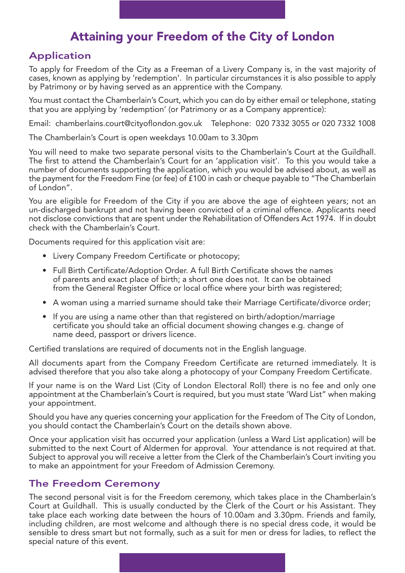### Attaining your Freedom of the City of London

### Application

To apply for Freedom of the City as a Freeman of a Livery Company is, in the vast majority of cases, known as applying by 'redemption'. In particular circumstances it is also possible to apply by Patrimony or by having served as an apprentice with the Company.

You must contact the Chamberlain's Court, which you can do by either email or telephone, stating that you are applying by 'redemption' (or Patrimony or as a Company apprentice):

Email: chamberlains.court@cityoflondon.gov.uk Telephone: 020 7332 3055 or 020 7332 1008

The Chamberlain's Court is open weekdays 10.00am to 3.30pm

You will need to make two separate personal visits to the Chamberlain's Court at the Guildhall. The first to attend the Chamberlain's Court for an 'application visit'. To this you would take a number of documents supporting the application, which you would be advised about, as well as the payment for the Freedom Fine (or fee) of £100 in cash or cheque payable to "The Chamberlain of London".

You are eligible for Freedom of the City if you are above the age of eighteen years; not an un-discharged bankrupt and not having been convicted of a criminal offence. Applicants need not disclose convictions that are spent under the Rehabilitation of Offenders Act 1974. If in doubt check with the Chamberlain's Court.

Documents required for this application visit are:

- Livery Company Freedom Certificate or photocopy;
- Full Birth Certificate/Adoption Order. A full Birth Certificate shows the names of parents and exact place of birth; a short one does not. It can be obtained from the General Register Office or local office where your birth was registered;
- A woman using a married surname should take their Marriage Certificate/divorce order;
- If you are using a name other than that registered on birth/adoption/marriage certificate you should take an official document showing changes e.g. change of name deed, passport or drivers licence.

Certified translations are required of documents not in the English language.

All documents apart from the Company Freedom Certificate are returned immediately. It is advised therefore that you also take along a photocopy of your Company Freedom Certificate.

If your name is on the Ward List (City of London Electoral Roll) there is no fee and only one appointment at the Chamberlain's Court is required, but you must state 'Ward List" when making your appointment.

Should you have any queries concerning your application for the Freedom of The City of London, you should contact the Chamberlain's Court on the details shown above.

Once your application visit has occurred your application (unless a Ward List application) will be submitted to the next Court of Aldermen for approval. Your attendance is not required at that. Subject to approval you will receive a letter from the Clerk of the Chamberlain's Court inviting you to make an appointment for your Freedom of Admission Ceremony.

#### The Freedom Ceremony

The second personal visit is for the Freedom ceremony, which takes place in the Chamberlain's Court at Guildhall. This is usually conducted by the Clerk of the Court or his Assistant. They take place each working date between the hours of 10.00am and 3.30pm. Friends and family, including children, are most welcome and although there is no special dress code, it would be sensible to dress smart but not formally, such as a suit for men or dress for ladies, to reflect the special nature of this event.